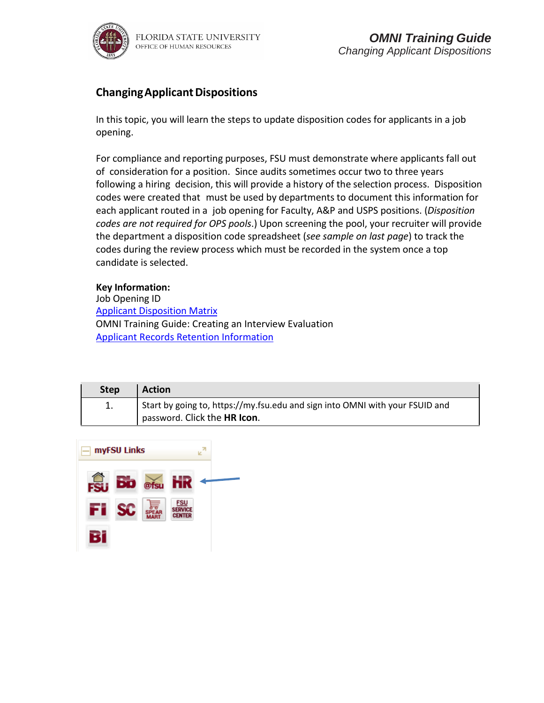

## **ChangingApplicantDispositions**

In this topic, you will learn the steps to update disposition codes for applicants in a job opening.

For compliance and reporting purposes, FSU must demonstrate where applicants fall out of consideration for a position. Since audits sometimes occur two to three years following a hiring decision, this will provide a history of the selection process. Disposition codes were created that must be used by departments to document this information for each applicant routed in a job opening for Faculty, A&P and USPS positions. (*Disposition codes are not required for OPS pools*.) Upon screening the pool, your recruiter will provide the department a disposition code spreadsheet (*see sample on last page*) to track the codes during the review process which must be recorded in the system once a top candidate is selected.

### **Key Information:**

Job Opening ID Applicant [Disposition](http://hr.fsu.edu/PDF/publications/employment/Applicant%20Disposition%20Matrix.pdf) Matrix OMNI Training Guide: Creating an Interview Evaluation [Applicant Records Retention Information](https://searchtraining.hr.fsu.edu/storage/toolkits/faculty/recordkeeping.pdf)

| <b>Step</b> | <b>Action</b>                                                                                                |
|-------------|--------------------------------------------------------------------------------------------------------------|
|             | Start by going to, https://my.fsu.edu and sign into OMNI with your FSUID and<br>password. Click the HR Icon. |

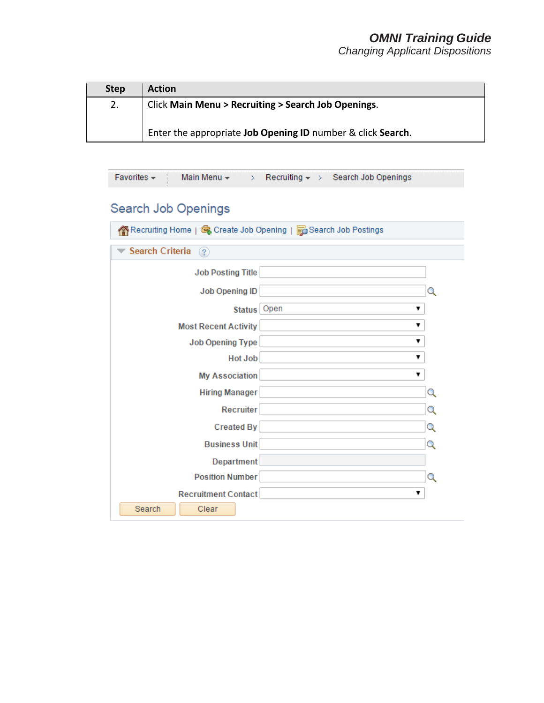*Changing Applicant Dispositions*

| <b>Step</b> | <b>Action</b>                                                    |
|-------------|------------------------------------------------------------------|
| 2.          | <b>Click Main Menu &gt; Recruiting &gt; Search Job Openings.</b> |
|             | Enter the appropriate Job Opening ID number & click Search.      |

| Favorites $\sim$<br>Main Menu $\star$<br>Recruiting $\star$ > Search Job Openings<br>$\geq$ |   |
|---------------------------------------------------------------------------------------------|---|
| <b>Search Job Openings</b>                                                                  |   |
| A Recruiting Home   每 Create Job Opening   5 Search Job Postings                            |   |
| <b>Search Criteria</b><br>(2)                                                               |   |
| <b>Job Posting Title</b>                                                                    |   |
| <b>Job Opening ID</b>                                                                       | Q |
| Open<br><b>Status</b>                                                                       | ▼ |
| <b>Most Recent Activity</b>                                                                 | ▼ |
| <b>Job Opening Type</b>                                                                     | ▼ |
| <b>Hot Job</b>                                                                              | ▼ |
| <b>My Association</b>                                                                       | ▼ |
| <b>Hiring Manager</b>                                                                       | Q |
| <b>Recruiter</b>                                                                            | Q |
| <b>Created By</b>                                                                           | Q |
| <b>Business Unit</b>                                                                        | Q |
| Department                                                                                  |   |
| <b>Position Number</b>                                                                      | Q |
| <b>Recruitment Contact</b>                                                                  | ▼ |
| Search<br>Clear                                                                             |   |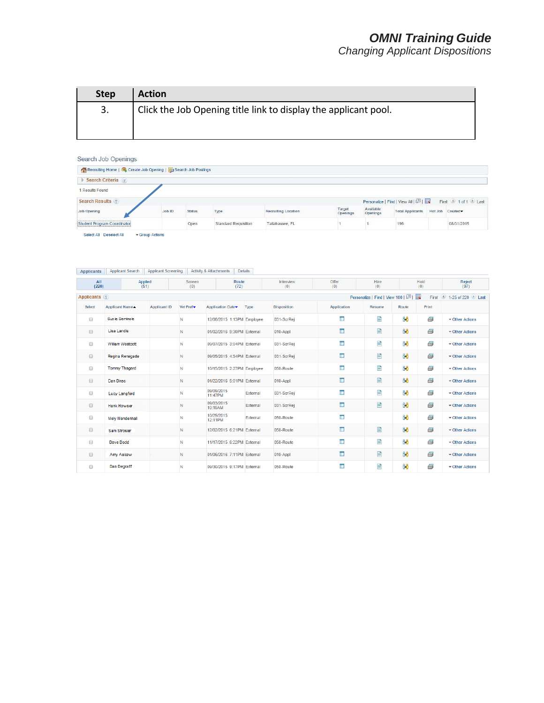*Changing Applicant Dispositions*

| <b>Step</b> | <b>Action</b>                                                   |
|-------------|-----------------------------------------------------------------|
| 3.          | Click the Job Opening title link to display the applicant pool. |
|             |                                                                 |

#### Search Job Openings

| <b>Status</b><br>Type               | <b>Recruiting Location</b> | Target<br>Openings | Available<br>Openings | <b>Total Applicants</b> |                 |
|-------------------------------------|----------------------------|--------------------|-----------------------|-------------------------|-----------------|
| Open<br><b>Standard Requisition</b> | Tallahassee, FL            |                    |                       | 196                     | 08/31/2015      |
|                                     |                            |                    |                       |                         | Hot Job Created |

#### Applicants | Applicant Search | Applicant Screening | Activity & Attachments | Details

| All<br>(220)         | Applied<br>(51)         |                                              | Screen<br>(0)         | Route<br>(72)              |          | Interview<br>(0)   | Offer<br>(0)       | Hire<br>(0) |                                        | Hold<br>(0) | Reject<br>(97)       |
|----------------------|-------------------------|----------------------------------------------|-----------------------|----------------------------|----------|--------------------|--------------------|-------------|----------------------------------------|-------------|----------------------|
| Applicants ?         |                         | Personalize   Find   View 100   2  <br>First |                       |                            |          |                    |                    |             | $\bigcirc$ 1-25 of 220 $\bigcirc$ Last |             |                      |
| <b>Select</b>        | <b>Applicant Name▲</b>  | <b>Applicant ID</b>                          | Vet Pref <sup>*</sup> | Application Date           | Type     | <b>Disposition</b> | <b>Application</b> | Resume      | Route                                  | Print       |                      |
| $\Box$               | Sus ie Seminole         |                                              | N                     | 12/08/2015 1:13PM Employee |          | 031-ScrRei         | Ē                  | E           | ĜÔ                                     | s           | - Other Actions      |
| $\Box$               | <b>Lisa Landis</b>      |                                              | N                     | 01/02/2016 9:30PM External |          | 010-Appl           | Œ                  | 目           | ලිවි                                   | ő           | - Other Actions      |
| $\Box$               | <b>William Westcott</b> |                                              | N                     | 09/07/2015 3:04PM External |          | 031-ScrRei         | ۱Ē.                | E           | දිරි                                   | ð           | - Other Actions      |
| $\Box$               | Regina Renegade         |                                              | N                     | 09/05/2015 4:54PM External |          | 031-ScrRei         | E                  | E           | 88                                     | 8           | - Other Actions      |
| $\Box$               | <b>Tommy Thagard</b>    |                                              | N                     | 10/15/2015 2:27PM Employee |          | 050-Route          | I.                 | E           | දිරි                                   | ő           | $\sim$ Other Actions |
| $\Box$               | Dan Dirac               |                                              | N                     | 01/22/2016 5:01PM External |          | 010-Appl           | c                  | E           | ලිවි                                   | ő           | $\sim$ Other Actions |
| $\Box$               | <b>Lucy Langford</b>    |                                              | N                     | 09/09/2015<br>11:47PM      | External | 031-ScrRei         | I.                 | 目           | දිරි                                   | s           | ▼ Other Actions      |
| $\Box$               | <b>Hank Howser</b>      |                                              | N                     | 09/03/2015<br>10:19AM      | External | 031-ScrRej         | Ē                  | B           | ලිති                                   | 6           | - Other Actions      |
| $\Box$               | <b>Moly Mendenhall</b>  |                                              | N                     | 10/29/2015<br>12:11PM      | External | 050-Route          | īΠ,                |             | දිරි                                   | 8           | - Other Actions      |
| $\qquad \qquad \Box$ | <b>Sam Strosier</b>     |                                              | N                     | 12/02/2015 6:21PM External |          | 050-Route          | E                  | 目           | ලිවි                                   | 8           | - Other Actions      |
| $\Box$               | Dave Dodd               |                                              | N                     | 11/17/2015 6:22PM External |          | 050-Route          | ۱۳                 | B           | දිරි                                   | ő           | - Other Actions      |
| $\qquad \qquad \Box$ | Amy Askew               |                                              | N                     | 01/06/2016 7:11PM External |          | 010-Appl           | $\blacksquare$     | E           | ලිවි                                   | ð           | ▼ Other Actions      |
| $\Box$               | Dan Degraff             |                                              | N                     | 09/30/2015 9:17PM External |          | 050-Route          | Œ                  | E           | දිරි                                   | s           | $\sim$ Other Actions |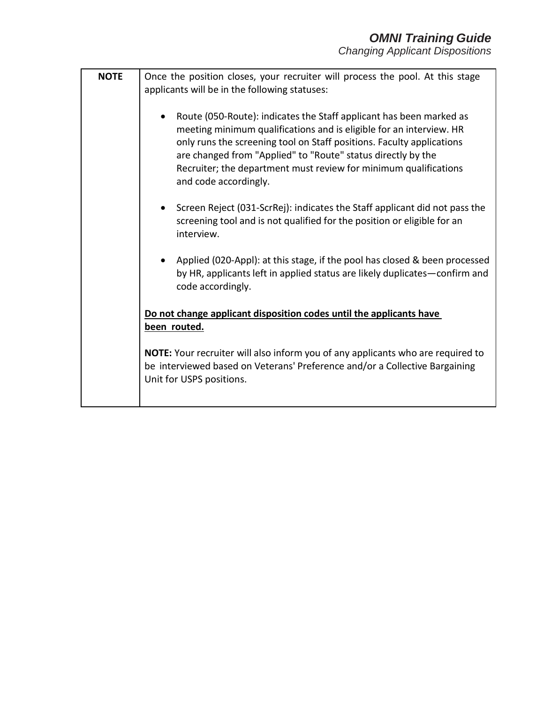| <b>NOTE</b> | Once the position closes, your recruiter will process the pool. At this stage                                                                                                                                                                                                                                                                                                    |
|-------------|----------------------------------------------------------------------------------------------------------------------------------------------------------------------------------------------------------------------------------------------------------------------------------------------------------------------------------------------------------------------------------|
|             | applicants will be in the following statuses:                                                                                                                                                                                                                                                                                                                                    |
|             | Route (050-Route): indicates the Staff applicant has been marked as<br>meeting minimum qualifications and is eligible for an interview. HR<br>only runs the screening tool on Staff positions. Faculty applications<br>are changed from "Applied" to "Route" status directly by the<br>Recruiter; the department must review for minimum qualifications<br>and code accordingly. |
|             | Screen Reject (031-ScrRej): indicates the Staff applicant did not pass the<br>screening tool and is not qualified for the position or eligible for an<br>interview.                                                                                                                                                                                                              |
|             | Applied (020-Appl): at this stage, if the pool has closed & been processed<br>by HR, applicants left in applied status are likely duplicates-confirm and<br>code accordingly.                                                                                                                                                                                                    |
|             | Do not change applicant disposition codes until the applicants have<br>been routed.                                                                                                                                                                                                                                                                                              |
|             | NOTE: Your recruiter will also inform you of any applicants who are required to<br>be interviewed based on Veterans' Preference and/or a Collective Bargaining<br>Unit for USPS positions.                                                                                                                                                                                       |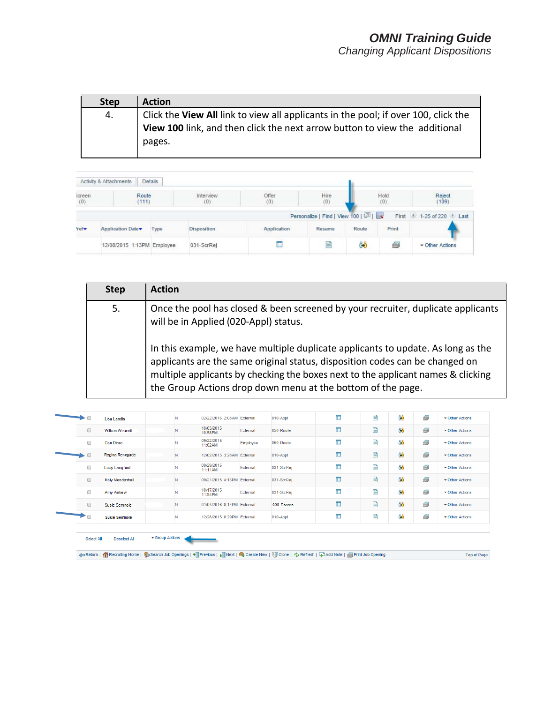| <b>Step</b> | <b>Action</b>                                                                      |
|-------------|------------------------------------------------------------------------------------|
| 4.          | Click the View All link to view all applicants in the pool; if over 100, click the |
|             | View 100 link, and then click the next arrow button to view the additional         |
|             | pages.                                                                             |
|             |                                                                                    |

|                                  | Details<br>Activity & Attachments |      |                    |                     |                                     |       |             |                        |
|----------------------------------|-----------------------------------|------|--------------------|---------------------|-------------------------------------|-------|-------------|------------------------|
| screen<br>(0)                    | Route<br>(111)                    |      | Interview<br>(0)   | <b>Offer</b><br>(0) | Hire<br>(0)                         |       | Hold<br>(0) | Reject<br>(109)        |
|                                  |                                   |      |                    |                     | Personalize   Find   View 100   [7] |       |             | First 1-25 of 220 Last |
| $r$ <sub>ref</sub> $\rightarrow$ | Application Date                  | Type | <b>Disposition</b> | Application         | Resume                              | Route | Print       |                        |
|                                  | 12/08/2015 1:13PM Employee        |      | 031-ScrRei         |                     | m                                   | Ĝ6    |             | Cther Actions          |

| <b>Step</b> | <b>Action</b>                                                                                                                                                                                                                                                                                                       |
|-------------|---------------------------------------------------------------------------------------------------------------------------------------------------------------------------------------------------------------------------------------------------------------------------------------------------------------------|
| 5.          | Once the pool has closed & been screened by your recruiter, duplicate applicants<br>will be in Applied (020-Appl) status.                                                                                                                                                                                           |
|             | In this example, we have multiple duplicate applicants to update. As long as the<br>applicants are the same original status, disposition codes can be changed on<br>multiple applicants by checking the boxes next to the applicant names & clicking<br>the Group Actions drop down menu at the bottom of the page. |

| $\longrightarrow$    | <b>Lisa Landis</b>    |   | 02/22/2016 2:08AM External |          | 010-Appl   | I.  | P | දිරි | ő | $\sim$ Other Actions |
|----------------------|-----------------------|---|----------------------------|----------|------------|-----|---|------|---|----------------------|
| $\qquad \qquad \Box$ | William Wescott       | N | 10/03/2015<br>10:58PM      | External | 050-Route  | E   | 目 | 88   | 6 | - Other Actions      |
| $\Box$               | Dan Dirac             |   | 09/22/2015<br>11:02AM      | Employee | 050-Route  | I.  | P | දිරි | 6 | - Other Actions      |
|                      | Regina Renegade       | N | 12/02/2015 3:28AM External |          | 010-Appl   | E   | ₽ | ිරි  | 6 | - Other Actions      |
| $\Box$               | <b>Lucy Langford</b>  |   | 09/29/2015<br>11:11AM      | External | 031-ScrRei | I.  | 目 | දිරි | 6 | $\sim$ Other Actions |
| $\qquad \qquad \Box$ | Moly Mendenhall       | N | 09/21/2015 4:13PM External |          | 031-ScrRei | īΞ, | 目 | ිරි  | 6 | - Other Actions      |
| $\Box$               | Amy Askew             |   | 10/17/2015<br>11:54PM      | External | 031-ScrRej | I.  | B | ိုကိ | 6 | ▼ Other Actions      |
| $\Box$               | Susie Seminole        | N | 01/04/2016 8:14PM External |          | 030-Screen | īΠ, | 目 | ලිවි | 6 | - Other Actions      |
| $\longrightarrow$    | <b>Susie Seminole</b> |   | 12/28/2015 8:29PM External |          | 010-Appl   | I.  | E | දිරි | ő | ▼ Other Actions      |

Group Actions Select All Deselect All

<h Return | 주 Recruiting Home | 축 Search Job Openings | ♦ | Previous | ↓|| Next | 축 Create New | 『및 Clone | 수 Refresh | 무 Add Note | 중 Print Job Opening

Top of Page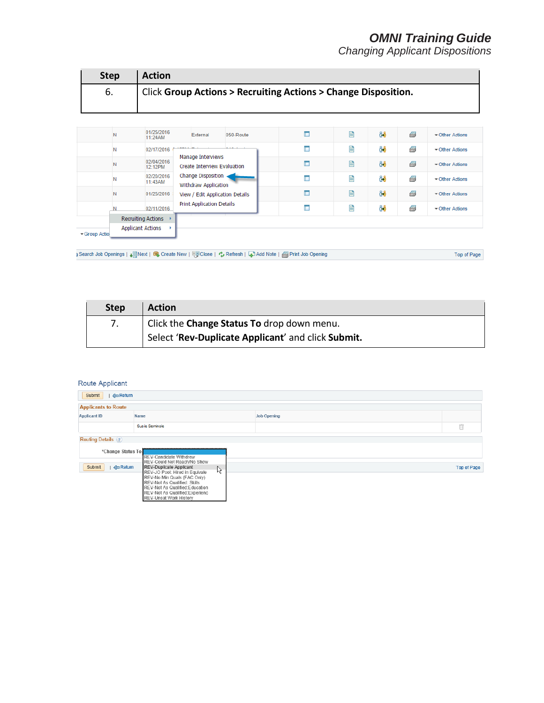Top of Page

*Changing Applicant Dispositions*

| <b>Step</b> | <b>Action</b>                                                               |
|-------------|-----------------------------------------------------------------------------|
| 6.          | <b>Click Group Actions &gt; Recruiting Actions &gt; Change Disposition.</b> |
|             |                                                                             |

|  |                                                                      | 01/25/2016<br>11:24AM | External                                                | 050-Route | $\blacksquare$ | 目 | දිරි | 8 | Other Actions        |
|--|----------------------------------------------------------------------|-----------------------|---------------------------------------------------------|-----------|----------------|---|------|---|----------------------|
|  |                                                                      | 02/17/2016            |                                                         |           | E              | 昏 | දිරි | 8 | Other Actions        |
|  |                                                                      | 02/04/2016<br>12:12PM | Manage Interviews<br><b>Create Interview Evaluation</b> |           | E              | 目 | ලිවි | 8 | Other Actions        |
|  |                                                                      | 02/20/2016<br>11:43AM | Change Disposition<br>Withdraw Application              |           | I.             | E | රිරි | 8 | Other Actions        |
|  | N                                                                    | 01/25/2016            | View / Edit Application Details                         |           | E              | 目 | ලිවි | 8 | $\sim$ Other Actions |
|  |                                                                      | 02/11/2016            | Print Application Details                               |           | I.             | Ê | දිරි | 6 | $\sim$ Other Actions |
|  | <b>Recruiting Actions</b><br><b>Applicant Actions</b><br>Group Actio |                       |                                                         |           |                |   |      |   |                      |
|  |                                                                      |                       |                                                         |           |                |   |      |   |                      |
|  |                                                                      |                       |                                                         |           |                |   |      |   |                      |

) Search Job Openings | إلى Next | Coreate New | 뗑Clone | ¢ Refresh | Add Note | G Print Job Opening

| <b>Step</b> | <b>Action</b>                                      |
|-------------|----------------------------------------------------|
|             | Click the Change Status To drop down menu.         |
|             | Select 'Rev-Duplicate Applicant' and click Submit. |

| Submit                                 | $\triangle$ Return                                                                                                                                                                                                                          |                    |                    |  |  |  |
|----------------------------------------|---------------------------------------------------------------------------------------------------------------------------------------------------------------------------------------------------------------------------------------------|--------------------|--------------------|--|--|--|
| <b>Applicants to Route</b>             |                                                                                                                                                                                                                                             |                    |                    |  |  |  |
| <b>Applicant ID</b>                    | Name                                                                                                                                                                                                                                        | <b>Job Opening</b> |                    |  |  |  |
|                                        | Sus ie Seminole                                                                                                                                                                                                                             |                    | Ñ                  |  |  |  |
| Routing Details ?<br>*Change Status To | REV-Candidate Withdrew<br>REV-Could Not Reach/No Show                                                                                                                                                                                       |                    |                    |  |  |  |
| Submit<br><b>Return</b>                | <b>REV-Duplicate Applicant</b><br>ß<br>REV-JO Pool: Hired in Equivale<br>REV-No Min Quals (FAC Only)<br>REV-Not As Qualified: Skills<br>REV-Not As Qualified: Education<br>REV-Not As Qualified: Experienc<br><b>REV-Unsat Work History</b> |                    | <b>Top of Page</b> |  |  |  |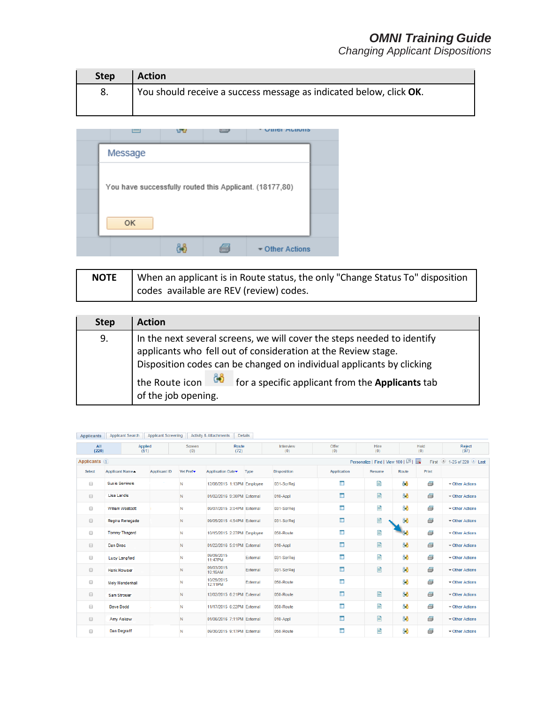*Changing Applicant Dispositions*

| <b>Step</b> | <b>Action</b>                                                      |
|-------------|--------------------------------------------------------------------|
|             | You should receive a success message as indicated below, click OK. |
|             |                                                                    |



| <b>NOTE</b> | When an applicant is in Route status, the only "Change Status To" disposition |
|-------------|-------------------------------------------------------------------------------|
|             | codes available are REV (review) codes.                                       |

| <b>Step</b> | <b>Action</b>                                                                                                                                                                                                                                                                                                                  |
|-------------|--------------------------------------------------------------------------------------------------------------------------------------------------------------------------------------------------------------------------------------------------------------------------------------------------------------------------------|
| 9.          | In the next several screens, we will cover the steps needed to identify<br>applicants who fell out of consideration at the Review stage.<br>Disposition codes can be changed on individual applicants by clicking<br><sup>1</sup> the Route icon 60<br>for a specific applicant from the Applicants tab<br>of the job opening. |

|                      | Application Applicant Search Applicant Scienting Activity & Attachments |                     |                       | <b>Details</b>             |          |                    |                    |                                     |       |             |                      |
|----------------------|-------------------------------------------------------------------------|---------------------|-----------------------|----------------------------|----------|--------------------|--------------------|-------------------------------------|-------|-------------|----------------------|
| All<br>(220)         | Applied<br>(51)                                                         |                     | Screen<br>(0)         | Route<br>(72)              |          | Interview<br>(0)   | Offer<br>(0)       | <b>Hire</b><br>(0)                  |       | Hold<br>(0) | Reject<br>(97)       |
| Applicants ?         |                                                                         |                     |                       |                            |          |                    |                    | Personalize   Find   View 100   [7] |       | First       | 1-25 of 220 Last     |
| Select               | Applicant Name <                                                        | <b>Applicant ID</b> | Vet Pref <sup>*</sup> | <b>Application Date</b>    | Type     | <b>Disposition</b> | <b>Application</b> | <b>Resume</b>                       | Route | Print       |                      |
| $\Box$               | Sus ie Seminole                                                         |                     | N                     | 12/08/2015 1:13PM Employee |          | 031-ScrRei         | Ē                  | E                                   | දිරි  | 8           | Other Actions        |
| $\Box$               | <b>Lisa Landis</b>                                                      |                     | N                     | 01/02/2016 9:30PM External |          | 010-Appl           | <b>In</b>          | 目                                   | êô    | 8           | - Other Actions      |
| $\Box$               | <b>William Westcott</b>                                                 |                     | N                     | 09/07/2015 3:04PM External |          | 031-ScrRei         | ÎΠ.                | 目                                   | දිරි  | 8           | - Other Actions      |
| $\qquad \qquad \Box$ | Regina Renegade                                                         |                     | N                     | 09/05/2015 4:54PM External |          | 031-ScrRei         | Œ                  | E                                   | ĜÔ    | 8           | - Other Actions      |
| $\Box$               | <b>Tommy Thagard</b>                                                    |                     | N                     | 10/15/2015 2:27PM Employee |          | 050-Route          | I.                 | 랼                                   | දිනි  | s           | $\sim$ Other Actions |
| $\Box$               | Dan Dirac                                                               |                     | N                     | 01/22/2016 5:01PM External |          | 010-Appl           | $\Box$             | 目                                   | 86    | ő           | Gther Actions        |
| $\Box$               | <b>Lucy Langford</b>                                                    |                     | N                     | 09/09/2015<br>11:47PM      | External | 031-ScrRej         | i <b>n</b>         | E                                   | දිරි  | s           | ▼ Other Actions      |
| $\qquad \qquad \Box$ | <b>Hank Howser</b>                                                      |                     | N                     | 09/03/2015<br>10:19AM      | External | 031-ScrRej         | <b>ID</b>          | B                                   | 88    | 6           | ▼ Other Actions      |
| 0                    | <b>Moly Mendenhall</b>                                                  |                     | N                     | 10/29/2015<br>12:11PM      | External | 050-Route          | T.                 |                                     | දිරි  | 8           | - Other Actions      |
| $\Box$               | Sam Strosier                                                            |                     | N                     | 12/02/2015 6:21PM External |          | 050-Route          | <b>In</b>          | 目                                   | ලිවි  | 8           | ▼ Other Actions      |
| $\Box$               | Dave Dodd                                                               |                     | N                     | 11/17/2015 6:22PM External |          | 050-Route          | i E                | E                                   | දිරි  | 8           | - Other Actions      |
| $\Box$               | Amy Askew                                                               |                     | N                     | 01/06/2016 7:11PM External |          | 010-Appl           | E                  | 目                                   | ĜÔ    | ð           | - Other Actions      |
| $\Box$               | Dan Degraff                                                             |                     | N                     | 09/30/2015 9:17PM External |          | 050-Route          | I.                 | E                                   | දිරි  | s           | $\sim$ Other Actions |

|  | Applicants   Applicant Search   Applicant Screening   Activity & Attachments   Details |  |
|--|----------------------------------------------------------------------------------------|--|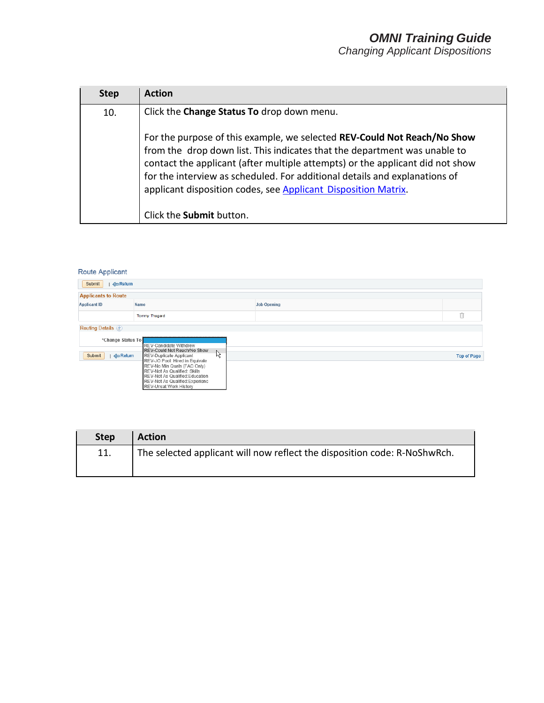*Changing Applicant Dispositions*

| <b>Step</b> | Action                                                                                                                                                                                                                                                                                                                                                                                 |
|-------------|----------------------------------------------------------------------------------------------------------------------------------------------------------------------------------------------------------------------------------------------------------------------------------------------------------------------------------------------------------------------------------------|
| 10.         | Click the Change Status To drop down menu.                                                                                                                                                                                                                                                                                                                                             |
|             | For the purpose of this example, we selected REV-Could Not Reach/No Show<br>from the drop down list. This indicates that the department was unable to<br>contact the applicant (after multiple attempts) or the applicant did not show<br>for the interview as scheduled. For additional details and explanations of<br>applicant disposition codes, see Applicant Disposition Matrix. |
|             | Click the <b>Submit</b> button.                                                                                                                                                                                                                                                                                                                                                        |

|                              | Submit<br>Return                                                                                                                 |         |                    |                    |  |  |
|------------------------------|----------------------------------------------------------------------------------------------------------------------------------|---------|--------------------|--------------------|--|--|
| <b>Applicants to Route</b>   |                                                                                                                                  |         |                    |                    |  |  |
| <b>Applicant ID</b>          | Name                                                                                                                             |         | <b>Job Opening</b> |                    |  |  |
|                              | Tommy Thagard                                                                                                                    |         |                    | Ñ                  |  |  |
| <b>Routing Details</b> ?     |                                                                                                                                  |         |                    |                    |  |  |
| *Change Status To            | <b>REV-Candidate Withdrew</b>                                                                                                    |         |                    |                    |  |  |
|                              | REV-Could Not Reach/No Show                                                                                                      |         |                    |                    |  |  |
| Submit<br>$\triangle$ Return | <b>REV-Duplicate Applicant</b>                                                                                                   |         |                    | <b>Top of Page</b> |  |  |
|                              |                                                                                                                                  |         |                    |                    |  |  |
|                              |                                                                                                                                  |         |                    |                    |  |  |
|                              | REV-Not As Qualified:Education                                                                                                   |         |                    |                    |  |  |
|                              |                                                                                                                                  |         |                    |                    |  |  |
|                              | REV-JO Pool: Hired in Equivale<br>REV-No Min Quals (FAC Only)<br>REV-Not As Qualified: Skills<br>REV-Not As Qualified: Experienc | $\beta$ |                    |                    |  |  |

| <b>Step</b> | <b>Action</b>                                                             |
|-------------|---------------------------------------------------------------------------|
| 11.         | The selected applicant will now reflect the disposition code: R-NoShwRch. |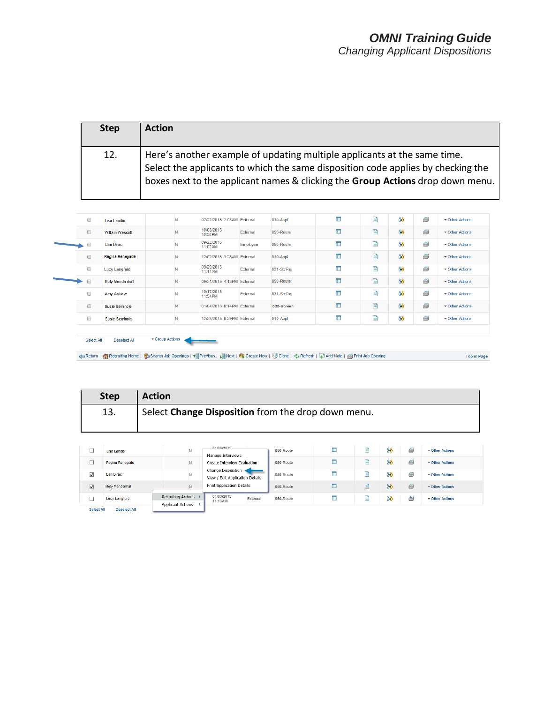| <b>Step</b> | <b>Action</b>                                                                                                                                                                                                                                               |
|-------------|-------------------------------------------------------------------------------------------------------------------------------------------------------------------------------------------------------------------------------------------------------------|
| 12.         | $\mathsf{I}$ Here's another example of updating multiple applicants at the same time.<br>Select the applicants to which the same disposition code applies by checking the<br>boxes next to the applicant names & clicking the Group Actions drop down menu. |

| $\Box$               | <b>Lisa Landis</b>   | N | 02/22/2016 2:08AM External |          | 010-Appl   | Œ              | 旨 | 88   | 6 | - Other Actions      |
|----------------------|----------------------|---|----------------------------|----------|------------|----------------|---|------|---|----------------------|
| $\Box$               | William Wescott      | N | 10/03/2015<br>10:58PM      | External | 050-Route  | Œ              | 目 | 88   | 6 | - Other Actions      |
| $\Box$               | Dan Dirac            | N | 09/22/2015<br>11:02AM      | Employee | 050-Route  | I.             | E | ိုကိ | ő | - Other Actions      |
| $\qquad \qquad \Box$ | Regina Renegade      | N | 12/02/2015 3:28AM External |          | 010-Appl   | E              | E | දිරි | 6 | - Other Actions      |
| $\Box$               | <b>Lucy Langford</b> | N | 09/29/2015<br>11:11AM      | External | 031-ScrRej | I.             | E | 88   | Ø | - Other Actions      |
| $\Box$               | Moly Mendenhall      | N | 09/21/2015 4:13PM External |          | 050-Route  | $\blacksquare$ | E | 88   | 6 | - Other Actions      |
| $\Box$               | Amy Askew            | N | 10/17/2015<br>11:54PM      | External | 031-ScrRej | Ē              | E | 88   | Ø | $\sim$ Other Actions |
| $\qquad \qquad \Box$ | Susie Seminole       | N | 01/04/2016 8:14PM External |          | 030-Screen | E              | 目 | 88   | 6 | - Other Actions      |
| $\Box$               | Susie Seminole       | N | 12/28/2015 8:29PM External |          | 010-Appl   | I.             | 旨 | 88   | 6 | - Other Actions      |

| <b>Step</b> | <b>Action</b>                                      |
|-------------|----------------------------------------------------|
| 13.         | Select Change Disposition from the drop down menu. |
|             |                                                    |

|                         | <b>Lisa Landis</b>     | N                                              | 04/08/2015<br>Manage Interviews                         | 050-Route | ₽ | දිරි | £ | $\blacktriangleright$ Other Actions |
|-------------------------|------------------------|------------------------------------------------|---------------------------------------------------------|-----------|---|------|---|-------------------------------------|
|                         | Regina Renegade        | N                                              | Create Interview Evaluation                             | 050-Route | ₽ | දිරි | a | $\blacktriangleright$ Other Actions |
| $\blacktriangledown$    | Dan Dirac              | N                                              | Change Disposition <<br>View / Edit Application Details | 050-Route | e | ôô   | £ | ▼ Other Actions                     |
| $\overline{\mathbf{v}}$ | <b>Molv Mendenhall</b> | N                                              | <b>Print Application Details</b>                        | 050-Route |   | දිරි | a | $\sim$ Other Actions                |
|                         | <b>Lucy Langford</b>   | Recruiting Actions<br><b>Applicant Actions</b> | 04/03/2015<br>External<br>11:13AM                       | 050-Route | E | දිරි | € | $\sim$ Other Actions                |
| Select All              | <b>Deselect All</b>    |                                                |                                                         |           |   |      |   |                                     |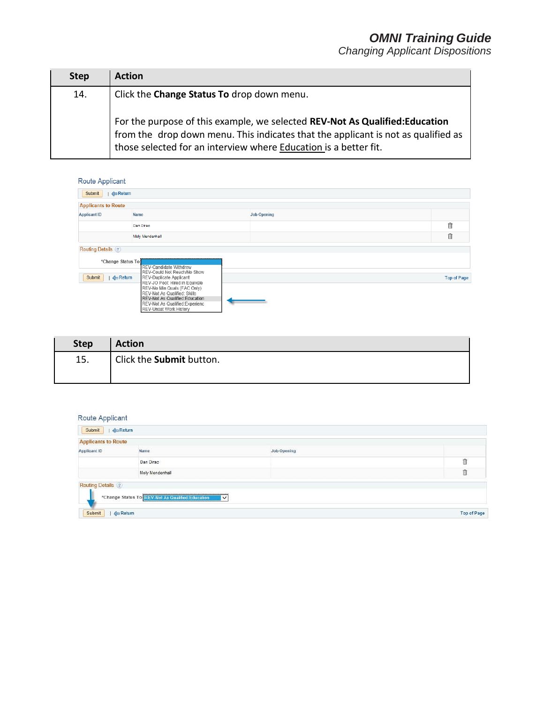*Changing Applicant Dispositions*

| <b>Step</b> | <b>Action</b>                                                                                                                                                                                                                        |
|-------------|--------------------------------------------------------------------------------------------------------------------------------------------------------------------------------------------------------------------------------------|
| 14.         | Click the <b>Change Status To</b> drop down menu.                                                                                                                                                                                    |
|             | For the purpose of this example, we selected REV-Not As Qualified:Education<br>from the drop down menu. This indicates that the applicant is not as qualified as<br>those selected for an interview where Education is a better fit. |

Route Applicant

| . .                          |                                                                                                                                                                   |                    |                    |
|------------------------------|-------------------------------------------------------------------------------------------------------------------------------------------------------------------|--------------------|--------------------|
| Submit<br><b>Exetum</b>      |                                                                                                                                                                   |                    |                    |
| <b>Applicants to Route</b>   |                                                                                                                                                                   |                    |                    |
| <b>Applicant ID</b>          | Name                                                                                                                                                              | <b>Job Opening</b> |                    |
|                              | Dan Dirac                                                                                                                                                         |                    | 俞                  |
|                              | Moly Mendenhall                                                                                                                                                   |                    | 自                  |
| <b>Routing Details (?)</b>   |                                                                                                                                                                   |                    |                    |
| *Change Status To            | <b>REV-Candidate Withdrew</b><br>REV-Could Not Reach/No Show                                                                                                      |                    |                    |
| Submit<br>$\triangle$ Return | REV-Duplicate Applicant<br>REV-JO Pool: Hired in Equivale                                                                                                         |                    | <b>Top of Page</b> |
|                              | REV-No Min Quals (FAC Only)<br>REV-Not As Qualified: Skills<br>REV-Not As Qualified:Education<br>REV-Not As Qualified: Experienc<br><b>REV-Unsat Work History</b> |                    |                    |

| <b>Step</b> | <b>Action</b>            |
|-------------|--------------------------|
| 15.         | Click the Submit button. |
|             |                          |

| <b>Applicants to Route</b><br><b>Applicant ID</b> | Name            | <b>Job Opening</b> |   |
|---------------------------------------------------|-----------------|--------------------|---|
|                                                   | Dan Dirac       |                    | î |
|                                                   |                 |                    |   |
|                                                   | Moly Mendenhall |                    | 自 |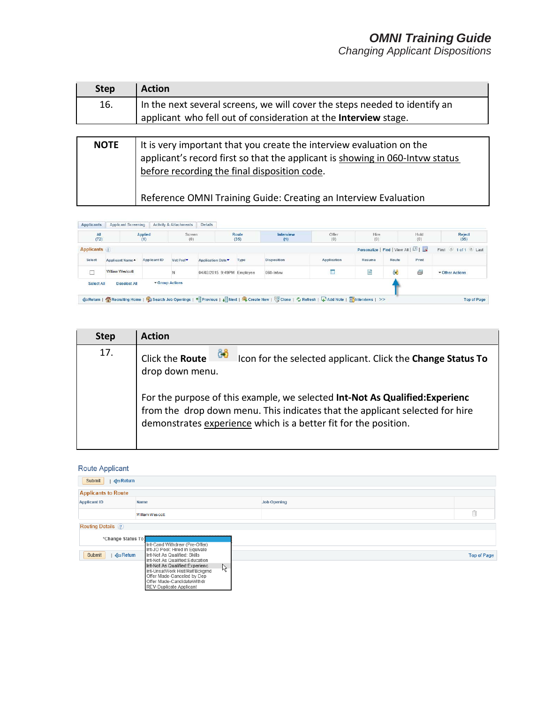*Changing Applicant Dispositions*

| <b>Step</b> | <b>Action</b>                                                                                                                                                                                      |
|-------------|----------------------------------------------------------------------------------------------------------------------------------------------------------------------------------------------------|
| 16.         | In the next several screens, we will cover the steps needed to identify an<br>applicant who fell out of consideration at the Interview stage.                                                      |
|             |                                                                                                                                                                                                    |
| <b>NOTE</b> | It is very important that you create the interview evaluation on the applicant's record first so that the applicant is showing in 060-lntvw status<br>before recording the final disposition code. |
|             | Reference OMNI Training Guide: Creating an Interview Evaluation                                                                                                                                    |

| All                 |                        | Applied             | <b>Screen</b>         |                            | Route | Interview          | Offer              | Hire                          |       | Hold  | Reject            |
|---------------------|------------------------|---------------------|-----------------------|----------------------------|-------|--------------------|--------------------|-------------------------------|-------|-------|-------------------|
| (72)                |                        | (1)                 | (0)                   |                            | (35)  | (1)                | (0)                | (0)                           |       | (0)   | (35)              |
| <b>Applicants</b> 2 |                        |                     |                       |                            |       |                    |                    | Personalize   Find   View All |       |       | First 1 of 1 Last |
| <b>Select</b>       | <b>Applicant Name▲</b> | <b>Applicant ID</b> | Vet Pref <sup>*</sup> | <b>Application Date▼</b>   | Type  | <b>Disposition</b> | <b>Application</b> | Resume                        | Route | Print |                   |
|                     | William Westcott       |                     | N                     | 04/02/2015 9:49PM Employee |       | 060-Intvw          | I.                 | e                             | දිරි  | 6     | ▼ Other Actions   |
| Select All          | <b>Deselect All</b>    |                     | ▼ Group Actions       |                            |       |                    |                    |                               |       |       |                   |

| <b>Step</b> | <b>Action</b>                                                                                                                                                                                                                                                                                                                              |
|-------------|--------------------------------------------------------------------------------------------------------------------------------------------------------------------------------------------------------------------------------------------------------------------------------------------------------------------------------------------|
| 17.         | ĜÔ<br>Click the Route<br>Icon for the selected applicant. Click the Change Status To<br>drop down menu.<br>For the purpose of this example, we selected Int-Not As Qualified: Experienc<br>from the drop down menu. This indicates that the applicant selected for hire<br>demonstrates experience which is a better fit for the position. |

| Route Applicant              |                                                                                                                                                                         |                    |                    |
|------------------------------|-------------------------------------------------------------------------------------------------------------------------------------------------------------------------|--------------------|--------------------|
| Submit<br>$\triangle$ Return |                                                                                                                                                                         |                    |                    |
| <b>Applicants to Route</b>   |                                                                                                                                                                         |                    |                    |
| <b>Applicant ID</b>          | Name                                                                                                                                                                    | <b>Job Opening</b> |                    |
|                              | William Wes cott                                                                                                                                                        |                    | Ô                  |
| Routing Details (?)          |                                                                                                                                                                         |                    |                    |
| *Change Status To            | Int-Cand Withdrew (Pre-Offer)<br>Int-JO Pool: Hired in Equivale                                                                                                         |                    |                    |
| Submit<br>$\triangle$ Return | Int-Not As Qualified: Skills<br>Int-Not As Qualified: Education<br>Int-Not As Qualified: Experienc<br>ß<br>Int-UnsatWork Hist/Ref/Bckgrnd<br>Offer Made-Canceled by Dep |                    | <b>Top of Page</b> |
|                              | Offer Made-CandidateWithdr<br>REV-Duplicate Applicant                                                                                                                   |                    |                    |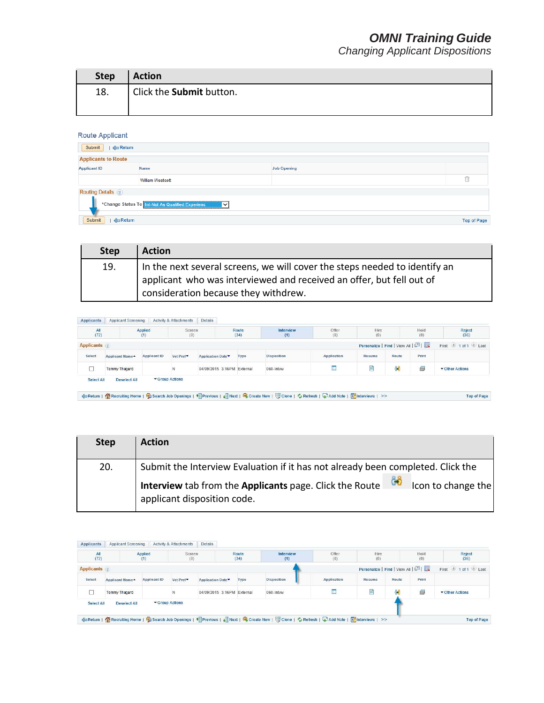*Changing Applicant Dispositions*

| <b>Step</b> | <b>Action</b>            |
|-------------|--------------------------|
| 18.         | Click the Submit button. |
|             |                          |

#### Route Applicant

| Submit<br>$\leftarrow$ Return |                                                                   |                    |                    |
|-------------------------------|-------------------------------------------------------------------|--------------------|--------------------|
| <b>Applicants to Route</b>    |                                                                   |                    |                    |
| <b>Applicant ID</b>           | Name                                                              | <b>Job Opening</b> |                    |
|                               | William Westcott                                                  |                    | n                  |
| <b>Routing Details</b> (?)    | *Change Status To Int-Not As Qualified: Experienc<br>$\checkmark$ |                    |                    |
| Submit<br>$\triangle$ Return  |                                                                   |                    | <b>Top of Page</b> |

| <b>Step</b> | <b>Action</b>                                                                                                                                                                              |
|-------------|--------------------------------------------------------------------------------------------------------------------------------------------------------------------------------------------|
| 19.         | In the next several screens, we will cover the steps needed to identify an<br>applicant who was interviewed and received an offer, but fell out of<br>consideration because they withdrew. |

Applicants | Applicant Screening | Activity & Attachments | Details

| All<br>(72)          |                        | Applied<br>(1)      | Screen<br>(0)         |                            | Route<br>(34) | Interview<br>(1)                     | Offer<br>(0)       | <b>Hire</b><br>(0)            |       | Hold<br>(0) | Reject<br>(36)    |  |
|----------------------|------------------------|---------------------|-----------------------|----------------------------|---------------|--------------------------------------|--------------------|-------------------------------|-------|-------------|-------------------|--|
| <b>Applicants</b> 2  |                        |                     |                       |                            |               |                                      |                    | Personalize   Find   View All |       |             | First 1 of 1 Last |  |
| Select               | <b>Applicant Name▲</b> | <b>Applicant ID</b> | Vet Pref <sup>*</sup> | Application Date           | Type          | <b>Disposition</b>                   | <b>Application</b> | Resume                        | Route | Print       |                   |  |
| <b>Tommy Thagard</b> |                        |                     |                       | 04/09/2015 3:16PM External |               | <b>ORDER WAS SERVED</b><br>060-Intvw | œ                  |                               | Ĝ8    | 6           | ▼ Other Actions   |  |
| Select All           | <b>Deselect All</b>    |                     | ▼ Group Actions       |                            |               |                                      |                    |                               |       |             |                   |  |

| <b>Step</b> | <b>Action</b>                                                                                                |
|-------------|--------------------------------------------------------------------------------------------------------------|
| 20.         | Submit the Interview Evaluation if it has not already been completed. Click the                              |
|             | Interview tab from the Applicants page. Click the Route<br>Icon to change the<br>applicant disposition code. |

| All<br>(72)           | Applied<br>Screen<br>(0)<br>(1) |                     | Route<br>(34)         |                            | Interview<br>(1) | Offer<br>(0)       | Hire<br>(0)        |                               | Hold<br>(0) | Reject<br>(36) |                   |  |
|-----------------------|---------------------------------|---------------------|-----------------------|----------------------------|------------------|--------------------|--------------------|-------------------------------|-------------|----------------|-------------------|--|
| <b>Applicants</b> (?) |                                 |                     |                       |                            |                  |                    |                    | Personalize   Find   View All |             |                | First 1 of 1 Last |  |
| Select                | Applicant Name                  | <b>Applicant ID</b> | Vet Pref <sup>*</sup> | Application Date           | Type             | <b>Disposition</b> | <b>Application</b> | Resume                        | Route       | Print          |                   |  |
| <b>Tommy Thagard</b>  |                                 |                     |                       | 04/09/2015 3:16PM External |                  | 060-Intvw          |                    | E                             | &8          | ß              | ▼ Other Actions   |  |
| <b>Select All</b>     | <b>Deselect All</b>             |                     | ▼ Group Actions       |                            |                  |                    |                    |                               |             |                |                   |  |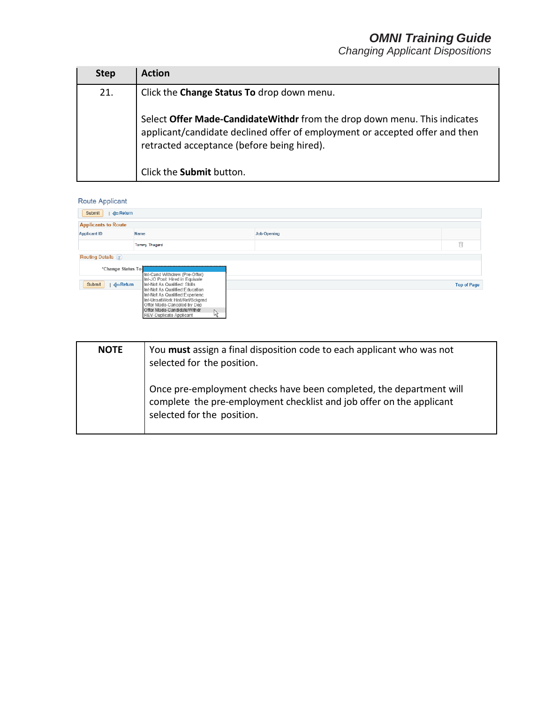*Changing Applicant Dispositions*

| <b>Step</b> | <b>Action</b>                                                                                                                                                                                           |
|-------------|---------------------------------------------------------------------------------------------------------------------------------------------------------------------------------------------------------|
| 21.         | Click the Change Status To drop down menu.                                                                                                                                                              |
|             | Select Offer Made-Candidate Withdr from the drop down menu. This indicates<br>applicant/candidate declined offer of employment or accepted offer and then<br>retracted acceptance (before being hired). |
|             | Click the Submit button.                                                                                                                                                                                |

| Submit<br>$\triangle$ Return                    |                                                                                                                                                                                                                                                                      |   |                    |                    |
|-------------------------------------------------|----------------------------------------------------------------------------------------------------------------------------------------------------------------------------------------------------------------------------------------------------------------------|---|--------------------|--------------------|
| <b>Applicants to Route</b>                      |                                                                                                                                                                                                                                                                      |   |                    |                    |
| <b>Applicant ID</b>                             | Name                                                                                                                                                                                                                                                                 |   | <b>Job Opening</b> |                    |
|                                                 | Tommy Thagard                                                                                                                                                                                                                                                        |   |                    | Û                  |
| <b>Routing Details</b> (?)<br>*Change Status To | Int-Cand Withdrew (Pre-Offer)                                                                                                                                                                                                                                        |   |                    |                    |
| Submit<br>Return                                | Int-JO Pool: Hired in Equivale<br>Int-Not As Qualified: Skills<br>Int-Not As Qualified: Education<br>Int-Not As Qualified: Experienc<br>Int-UnsatWork Hist/Ref/Bckgrnd<br>Offer Made-Canceled by Dep<br>Offer Made-CandidateWithdr<br><b>REV-Duplicate Applicant</b> | ß |                    | <b>Top of Page</b> |

| <b>NOTE</b> | You must assign a final disposition code to each applicant who was not<br>selected for the position.                                                                      |
|-------------|---------------------------------------------------------------------------------------------------------------------------------------------------------------------------|
|             | Once pre-employment checks have been completed, the department will<br>complete the pre-employment checklist and job offer on the applicant<br>selected for the position. |